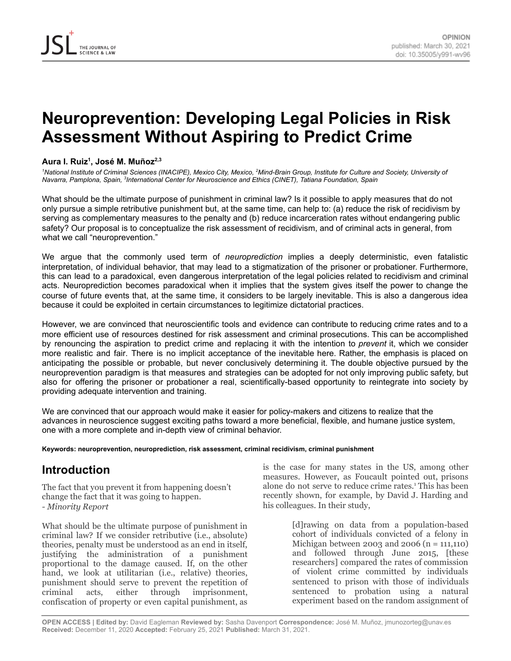# **Neuroprevention: Developing Legal Policies in Risk Assessment Without Aspiring to Predict Crime**

#### **Aura I. Ruiz 1 , José M. Muñoz 2,3**

<sup>1</sup>National Institute of Criminal Sciences (INACIPE), Mexico City, Mexico, <sup>2</sup>Mind-Brain Group, Institute for Culture and Society, University of *Navarra, Pamplona, Spain, 3 International Center for Neuroscience and Ethics (CINET), Tatiana Foundation, Spain*

What should be the ultimate purpose of punishment in criminal law? Is it possible to apply measures that do not only pursue a simple retributive punishment but, at the same time, can help to: (a) reduce the risk of recidivism by serving as complementary measures to the penalty and (b) reduce incarceration rates without endangering public safety? Our proposal is to conceptualize the risk assessment of recidivism, and of criminal acts in general, from what we call "neuroprevention."

We argue that the commonly used term of *neuroprediction* implies a deeply deterministic, even fatalistic interpretation, of individual behavior, that may lead to a stigmatization of the prisoner or probationer. Furthermore, this can lead to a paradoxical, even dangerous interpretation of the legal policies related to recidivism and criminal acts. Neuroprediction becomes paradoxical when it implies that the system gives itself the power to change the course of future events that, at the same time, it considers to be largely inevitable. This is also a dangerous idea because it could be exploited in certain circumstances to legitimize dictatorial practices.

However, we are convinced that neuroscientific tools and evidence can contribute to reducing crime rates and to a more efficient use of resources destined for risk assessment and criminal prosecutions. This can be accomplished by renouncing the aspiration to predict crime and replacing it with the intention to *prevent* it, which we consider more realistic and fair. There is no implicit acceptance of the inevitable here. Rather, the emphasis is placed on anticipating the possible or probable, but never conclusively determining it. The double objective pursued by the neuroprevention paradigm is that measures and strategies can be adopted for not only improving public safety, but also for offering the prisoner or probationer a real, scientifically-based opportunity to reintegrate into society by providing adequate intervention and training.

We are convinced that our approach would make it easier for policy-makers and citizens to realize that the advances in neuroscience suggest exciting paths toward a more beneficial, flexible, and humane justice system, one with a more complete and in-depth view of criminal behavior.

#### **Keywords: neuroprevention, neuroprediction, risk assessment, criminal recidivism, criminal punishment**

### **Introduction**

The fact that you prevent it from happening doesn't change the fact that it was going to happen. *- Minority Report*

What should be the ultimate purpose of punishment in criminal law? If we consider retributive (i.e., absolute) theories, penalty must be understood as an end in itself, justifying the administration of a punishment proportional to the damage caused. If, on the other hand, we look at utilitarian (i.e., relative) theories, punishment should serve to prevent the repetition of criminal acts, either through imprisonment, confiscation of property or even capital punishment, as

is the case for many states in the US, among other measures. However, as Foucault pointed out, prisons alone do not serve to reduce crime rates. <sup>1</sup>This has been recently shown, for example, by David J. Harding and his colleagues. In their study,

> [d]rawing on data from a population-based cohort of individuals convicted of a felony in Michigan between 2003 and 2006 (n = 111,110) and followed through June 2015, [these researchers] compared the rates of commission of violent crime committed by individuals sentenced to prison with those of individuals sentenced to probation using a natural experiment based on the random assignment of

**OPEN ACCESS | Edited by:** David Eagleman **Reviewed by:** Sasha Davenport **Correspondence:** José M. Muñoz, jmunozorteg@unav.es **Received:** December 11, 2020 **Accepted:** February 25, 2021 **Published:** March 31, 2021.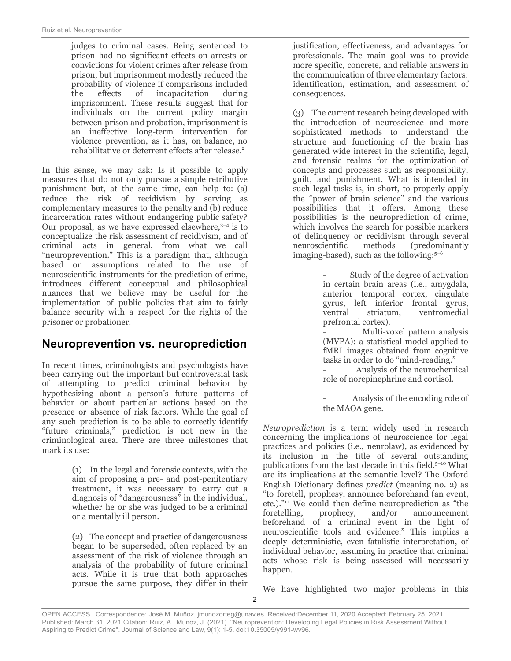judges to criminal cases. Being sentenced to prison had no significant effects on arrests or convictions for violent crimes after release from prison, but imprisonment modestly reduced the probability of violence if comparisons included the effects of incapacitation during imprisonment. These results suggest that for individuals on the current policy margin between prison and probation, imprisonment is an ineffective long-term intervention for violence prevention, as it has, on balance, no rehabilitative or deterrent effects after release. 2

In this sense, we may ask: Is it possible to apply measures that do not only pursue a simple retributive punishment but, at the same time, can help to: (a) reduce the risk of recidivism by serving as complementary measures to the penalty and (b) reduce incarceration rates without endangering public safety? Our proposal, as we have expressed elsewhere, 3–4 is to conceptualize the risk assessment of recidivism, and of criminal acts in general, from what we call "neuroprevention." This is a paradigm that, although based on assumptions related to the use of neuroscientific instruments for the prediction of crime, introduces different conceptual and philosophical nuances that we believe may be useful for the implementation of public policies that aim to fairly balance security with a respect for the rights of the prisoner or probationer.

### **Neuroprevention vs. neuroprediction**

In recent times, criminologists and psychologists have been carrying out the important but controversial task of attempting to predict criminal behavior by hypothesizing about a person's future patterns of behavior or about particular actions based on the presence or absence of risk factors. While the goal of any such prediction is to be able to correctly identify "future criminals," prediction is not new in the criminological area. There are three milestones that mark its use:

> (1) In the legal and forensic contexts, with the aim of proposing a pre- and post-penitentiary treatment, it was necessary to carry out a diagnosis of "dangerousness" in the individual, whether he or she was judged to be a criminal or a mentally ill person.

> (2) The concept and practice of dangerousness began to be superseded, often replaced by an assessment of the risk of violence through an analysis of the probability of future criminal acts. While it is true that both approaches pursue the same purpose, they differ in their

justification, effectiveness, and advantages for professionals. The main goal was to provide more specific, concrete, and reliable answers in the communication of three elementary factors: identification, estimation, and assessment of consequences.

(3) The current research being developed with the introduction of neuroscience and more sophisticated methods to understand the structure and functioning of the brain has generated wide interest in the scientific, legal, and forensic realms for the optimization of concepts and processes such as responsibility, guilt, and punishment. What is intended in such legal tasks is, in short, to properly apply the "power of brain science" and the various possibilities that it offers. Among these possibilities is the neuroprediction of crime, which involves the search for possible markers of delinquency or recidivism through several neuroscientific methods (predominantly imaging-based), such as the following: 5–6

> - Study of the degree of activation in certain brain areas (i.e., amygdala, anterior temporal cortex, cingulate gyrus, left inferior frontal gyrus, ventral striatum, ventromedial prefrontal cortex).

> - Multi-voxel pattern analysis (MVPA): a statistical model applied to fMRI images obtained from cognitive tasks in order to do "mind-reading."

> - Analysis of the neurochemical role of norepinephrine and cortisol.

> - Analysis of the encoding role of the MAOA gene.

*Neuroprediction* is a term widely used in research concerning the implications of neuroscience for legal practices and policies (i.e., neurolaw), as evidenced by its inclusion in the title of several outstanding publications from the last decade in this field. 5–10 What are its implications at the semantic level? The Oxford English Dictionary defines *predict* (meaning no. 2) as "to foretell, prophesy, announce beforehand (an event, etc.)."<sup>11</sup> We could then define neuroprediction as "the foretelling, prophecy, and/or announcement beforehand of a criminal event in the light of neuroscientific tools and evidence." This implies a deeply deterministic, even fatalistic interpretation, of individual behavior, assuming in practice that criminal acts whose risk is being assessed will necessarily happen.

We have highlighted two major problems in this

OPEN ACCESS | Correspondence: José M. Muñoz, jmunozorteg@unav.es. Received:December 11, 2020 Accepted: February 25, 2021 Published: March 31, 2021 Citation: Ruiz, A., Muñoz, J. (2021). "Neuroprevention: Developing Legal Policies in Risk Assessment Without Aspiring to Predict Crime". Journal of Science and Law, 9(1): 1-5. doi:10.35005/y991-wv96.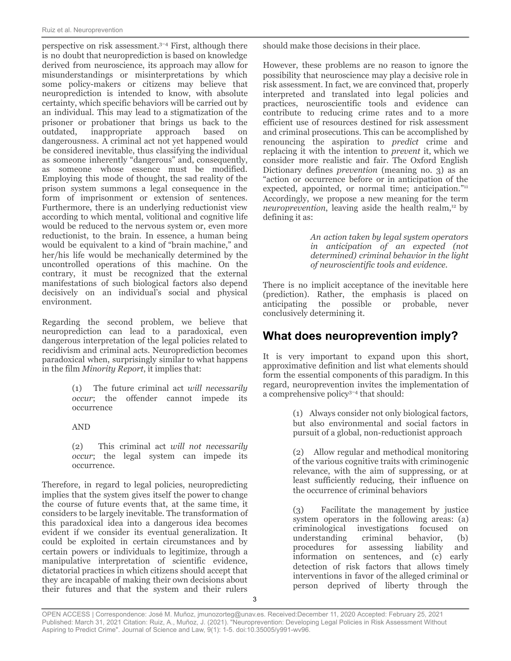perspective on risk assessment. 3–4 First, although there is no doubt that neuroprediction is based on knowledge derived from neuroscience, its approach may allow for misunderstandings or misinterpretations by which some policy-makers or citizens may believe that neuroprediction is intended to know, with absolute certainty, which specific behaviors will be carried out by an individual. This may lead to a stigmatization of the prisoner or probationer that brings us back to the outdated, inappropriate approach based on dangerousness. A criminal act not yet happened would be considered inevitable, thus classifying the individual as someone inherently "dangerous" and, consequently, as someone whose essence must be modified. Employing this mode of thought, the sad reality of the prison system summons a legal consequence in the form of imprisonment or extension of sentences. Furthermore, there is an underlying reductionist view according to which mental, volitional and cognitive life would be reduced to the nervous system or, even more reductionist, to the brain. In essence, a human being would be equivalent to a kind of "brain machine," and her/his life would be mechanically determined by the uncontrolled operations of this machine. On the contrary, it must be recognized that the external manifestations of such biological factors also depend decisively on an individual's social and physical environment.

Regarding the second problem, we believe that neuroprediction can lead to a paradoxical, even dangerous interpretation of the legal policies related to recidivism and criminal acts. Neuroprediction becomes paradoxical when, surprisingly similar to what happens in the film *Minority Report*, it implies that:

> (1) The future criminal act *will necessarily occur*; the offender cannot impede its occurrence

AND

(2) This criminal act *will not necessarily occur*; the legal system can impede its occurrence.

Therefore, in regard to legal policies, neuropredicting implies that the system gives itself the power to change the course of future events that, at the same time, it considers to be largely inevitable. The transformation of this paradoxical idea into a dangerous idea becomes evident if we consider its eventual generalization. It could be exploited in certain circumstances and by certain powers or individuals to legitimize, through a manipulative interpretation of scientific evidence, dictatorial practices in which citizens should accept that they are incapable of making their own decisions about their futures and that the system and their rulers

should make those decisions in their place.

However, these problems are no reason to ignore the possibility that neuroscience may play a decisive role in risk assessment. In fact, we are convinced that, properly interpreted and translated into legal policies and practices, neuroscientific tools and evidence can contribute to reducing crime rates and to a more efficient use of resources destined for risk assessment and criminal prosecutions. This can be accomplished by renouncing the aspiration to *predict* crime and replacing it with the intention to *prevent* it, which we consider more realistic and fair. The Oxford English Dictionary defines *prevention* (meaning no. 3) as an "action or occurrence before or in anticipation of the expected, appointed, or normal time; anticipation."<sup>11</sup> Accordingly, we propose a new meaning for the term neuroprevention, leaving aside the health realm,<sup>12</sup> by defining it as:

> *An action taken by legal system operators in anticipation of an expected (not determined) criminal behavior in the light of neuroscientific tools and evidence.*

There is no implicit acceptance of the inevitable here (prediction). Rather, the emphasis is placed on anticipating the possible or probable, never conclusively determining it.

# **What does neuroprevention imply?**

It is very important to expand upon this short, approximative definition and list what elements should form the essential components of this paradigm. In this regard, neuroprevention invites the implementation of a comprehensive policy 3–4 that should:

> (1) Always consider not only biological factors, but also environmental and social factors in pursuit of a global, non-reductionist approach

> (2) Allow regular and methodical monitoring of the various cognitive traits with criminogenic relevance, with the aim of suppressing, or at least sufficiently reducing, their influence on the occurrence of criminal behaviors

> (3) Facilitate the management by justice system operators in the following areas: (a) criminological investigations focused on understanding criminal behavior, (b) procedures for assessing liability and information on sentences, and (c) early detection of risk factors that allows timely interventions in favor of the alleged criminal or person deprived of liberty through the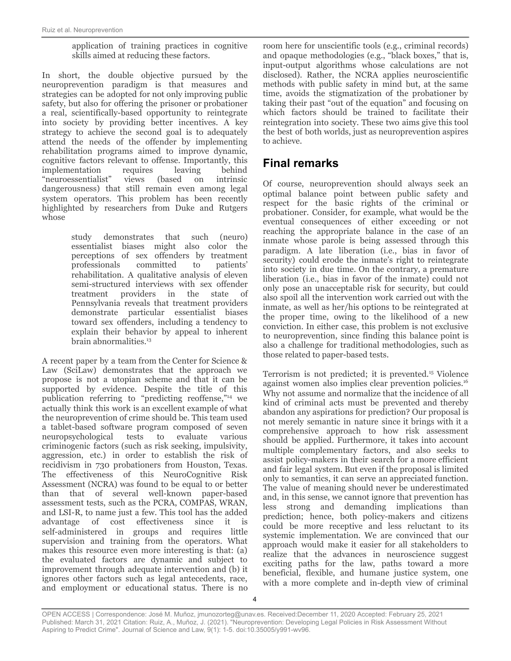#### application of training practices in cognitive skills aimed at reducing these factors.

In short, the double objective pursued by the neuroprevention paradigm is that measures and strategies can be adopted for not only improving public safety, but also for offering the prisoner or probationer a real, scientifically-based opportunity to reintegrate into society by providing better incentives. A key strategy to achieve the second goal is to adequately attend the needs of the offender by implementing rehabilitation programs aimed to improve dynamic, cognitive factors relevant to offense. Importantly, this implementation requires leaving behind "neuroessentialist" views (based on intrinsic dangerousness) that still remain even among legal system operators. This problem has been recently highlighted by researchers from Duke and Rutgers whose

> study demonstrates that such (neuro) essentialist biases might also color the perceptions of sex offenders by treatment professionals committed to patients' rehabilitation. A qualitative analysis of eleven semi-structured interviews with sex offender treatment providers in the state of Pennsylvania reveals that treatment providers demonstrate particular essentialist biases toward sex offenders, including a tendency to explain their behavior by appeal to inherent brain abnormalities. 13

A recent paper by a team from the Center for Science & Law (SciLaw) demonstrates that the approach we propose is not a utopian scheme and that it can be supported by evidence. Despite the title of this publication referring to "predicting reoffense,"<sup>14</sup> we actually think this work is an excellent example of what the neuroprevention of crime should be. This team used a tablet-based software program composed of seven neuropsychological tests to evaluate various criminogenic factors (such as risk seeking, impulsivity, aggression, etc.) in order to establish the risk of recidivism in 730 probationers from Houston, Texas. The effectiveness of this NeuroCognitive Risk Assessment (NCRA) was found to be equal to or better than that of several well-known paper-based assessment tests, such as the PCRA, COMPAS, WRAN, and LSI-R, to name just a few. This tool has the added advantage of cost effectiveness since it is self-administered in groups and requires little supervision and training from the operators. What makes this resource even more interesting is that: (a) the evaluated factors are dynamic and subject to improvement through adequate intervention and (b) it ignores other factors such as legal antecedents, race, and employment or educational status. There is no room here for unscientific tools (e.g., criminal records) and opaque methodologies (e.g., "black boxes," that is, input-output algorithms whose calculations are not disclosed). Rather, the NCRA applies neuroscientific methods with public safety in mind but, at the same time, avoids the stigmatization of the probationer by taking their past "out of the equation" and focusing on which factors should be trained to facilitate their reintegration into society. These two aims give this tool the best of both worlds, just as neuroprevention aspires to achieve.

### **Final remarks**

Of course, neuroprevention should always seek an optimal balance point between public safety and respect for the basic rights of the criminal or probationer. Consider, for example, what would be the eventual consequences of either exceeding or not reaching the appropriate balance in the case of an inmate whose parole is being assessed through this paradigm. A late liberation (i.e., bias in favor of security) could erode the inmate's right to reintegrate into society in due time. On the contrary, a premature liberation (i.e., bias in favor of the inmate) could not only pose an unacceptable risk for security, but could also spoil all the intervention work carried out with the inmate, as well as her/his options to be reintegrated at the proper time, owing to the likelihood of a new conviction. In either case, this problem is not exclusive to neuroprevention, since finding this balance point is also a challenge for traditional methodologies, such as those related to paper-based tests.

Terrorism is not predicted; it is prevented.<sup>15</sup> Violence against women also implies clear prevention policies. 16 Why not assume and normalize that the incidence of all kind of criminal acts must be prevented and thereby abandon any aspirations for prediction? Our proposal is not merely semantic in nature since it brings with it a comprehensive approach to how risk assessment should be applied. Furthermore, it takes into account multiple complementary factors, and also seeks to assist policy-makers in their search for a more efficient and fair legal system. But even if the proposal is limited only to semantics, it can serve an appreciated function. The value of meaning should never be underestimated and, in this sense, we cannot ignore that prevention has less strong and demanding implications than prediction; hence, both policy-makers and citizens could be more receptive and less reluctant to its systemic implementation. We are convinced that our approach would make it easier for all stakeholders to realize that the advances in neuroscience suggest exciting paths for the law, paths toward a more beneficial, flexible, and humane justice system, one with a more complete and in-depth view of criminal

OPEN ACCESS | Correspondence: José M. Muñoz, jmunozorteg@unav.es. Received:December 11, 2020 Accepted: February 25, 2021 Published: March 31, 2021 Citation: Ruiz, A., Muñoz, J. (2021). "Neuroprevention: Developing Legal Policies in Risk Assessment Without Aspiring to Predict Crime". Journal of Science and Law, 9(1): 1-5. doi:10.35005/y991-wv96.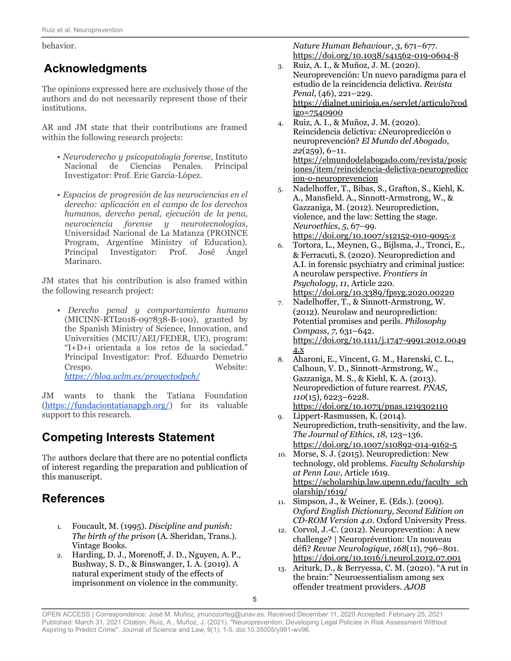behavior.

# **Acknowledgments**

The opinions expressed here are exclusively those of the authors and do not necessarily represent those of their institutions.

AR and JM state that their contributions are framed within the following research projects:

- *Neuroderecho y psicopatología forense*, Instituto Nacional de Ciencias Penales. Principal Investigator: Prof. Eric García-López.
- *Espacios de progresión de las neurociencias en el derecho: aplicación en el campo de los derechos humanos, derecho penal, ejecución de la pena, neurociencia forense y neurotecnologías*, Universidad Nacional de La Matanza (PROINCE Program, Argentine Ministry of Education). Principal Investigator: Prof. José Ángel Marinaro.

JM states that his contribution is also framed within the following research project:

• *Derecho penal y comportamiento humano*  (MICINN-RTI2018-097838-B-100), granted by the Spanish Ministry of Science, Innovation, and Universities (MCIU/AEI/FEDER, UE), program: "I+D+i orientada a los retos de la sociedad." Principal Investigator: Prof. Eduardo Demetrio Crespo. Website: *<https://blog.uclm.es/proyectodpch/>*

JM wants to thank the Tatiana Foundation [\(https://fundaciontatianapgb.org/](https://fundaciontatianapgb.org/)) for its valuable support to this research.

# **Competing Interests Statement**

The authors declare that there are no potential conflicts of interest regarding the preparation and publication of this manuscript.

## **References**

- 1. Foucault, M. (1995). *Discipline and punish: The birth of the prison* (A. Sheridan, Trans.). Vintage Books.
- 2. Harding, D. J., Morenoff, J. D., Nguyen, A. P., Bushway, S. D., & Binswanger, I. A. (2019). A natural experiment study of the effects of imprisonment on violence in the community.

*Nature Human Behaviour*, *3*, 671–677[.](https://doi.org/10.1038/s41562-019-0604-8) <https://doi.org/10.1038/s41562-019-0604-8>

- 3. Ruiz, A. I., & Muñoz, J. M. (2020). Neuroprevención: Un nuevo paradigma para el estudio de la reincide[n](https://dialnet.unirioja.es/servlet/articulo?codigo=7540900)cia delictiva. *Revista Penal*, (46), 221–229. [https://dialnet.unirioja.es/servlet/articulo?cod](https://dialnet.unirioja.es/servlet/articulo?codigo=7540900) [igo=7540900](https://dialnet.unirioja.es/servlet/articulo?codigo=7540900)
- 4. Ruiz, A. I., & Muñoz, J. M. (2020). Reincidencia delictiva: ¿Neuropredicción o neuroprevención? *El Mundo del Abogado* , *22*(259), 6–11. [https://elmundodelabogado.com/revista/posic](https://elmundodelabogado.com/revista/posiciones/item/reincidencia-delictiva-neuroprediccion-o-neuroprevencion) [iones/item/reincidencia-delictiva-neuropredicc](https://elmundodelabogado.com/revista/posiciones/item/reincidencia-delictiva-neuroprediccion-o-neuroprevencion) [ion-o-neuroprevencion](https://elmundodelabogado.com/revista/posiciones/item/reincidencia-delictiva-neuroprediccion-o-neuroprevencion)
- 5. Nadelhoffer, T., Bibas, S., Grafton, S., Kiehl, K. A., Mansfield. A., Sinnott-Armstrong, W., & Gazzaniga, M. (2012). Neuroprediction, violence, and the law: Setting the stage. *Neuroethics*, *5*, 67–99. <https://doi.org/10.1007/s12152-010-9095-z>
- 6. Tortora, L., Meynen, G., Bijlsma, J., Tronci, E., & Ferracuti, S. (2020). Neuroprediction and A.I. in forensic psychiatry and criminal justice: A neurolaw perspective. *Frontiers in Psychology*, *11*, Article 220[.](https://doi.org/10.3389/fpsyg.2020.00220) <https://doi.org/10.3389/fpsyg.2020.00220>
- 7. Nadelhoffer, T., & Sinnott‐Armstrong, W. (2012). Neurolaw and neuroprediction: Potential promises and perils. *Philosophy Compass*, *7*, 631–642[.](https://doi.org/10.1111/j.1747-9991.2012.00494.x) [https://doi.org/10.1111/j.1747-9991.2012.0049](https://doi.org/10.1111/j.1747-9991.2012.00494.x) [4.x](https://doi.org/10.1111/j.1747-9991.2012.00494.x)
- 8. Aharoni, E., Vincent, G. M., Harenski, C. L., Calhoun, V. D., Sinnott-Armstrong, W., Gazzaniga, M. S., & Kiehl, K. A. (2013). Neuroprediction of future rearrest. *PNAS*, *110*(15), 6223–6228[.](https://doi.org/10.1073/pnas.1219302110) <https://doi.org/10.1073/pnas.1219302110>
- 9. Lippert-Rasmussen, K. (2014). Neuroprediction, truth-sensitivity, and the law. *The Journal of Ethics*, *18*, 123–136. <https://doi.org/10.1007/s10892-014-9162-5>
- 10. Morse, S. J. (2015). Neuroprediction: New technology, old problems. *Faculty Scholarship at Penn Law*, Article 1619[.](https://scholarship.law.upenn.edu/faculty_scholarship/1619/) [https://scholarship.law.upenn.edu/faculty\\_sch](https://scholarship.law.upenn.edu/faculty_scholarship/1619/) [olarship/1619/](https://scholarship.law.upenn.edu/faculty_scholarship/1619/)
- 11. Simpson, J., & Weiner, E. (Eds.). (2009). *Oxford English Dictionary, Second Edition on CD-ROM Version 4.0*. Oxford University Press.
- 12. Corvol, J.-C. (2012). Neuroprevention: A new challenge? | Neuroprévention: Un nouveau défi? *Revue Neurologique*, *168*(11), 796–801[.](https://doi.org/10.1016/j.neurol.2012.07.001) <https://doi.org/10.1016/j.neurol.2012.07.001>
- 13. Ariturk, D., & Berryessa, C. M. (2020). "A rut in the brain:" Neuroessentialism among sex offender treatment providers. *AJOB*

OPEN ACCESS | Correspondence: José M. Muñoz, jmunozorteg@unav.es. Received:December 11, 2020 Accepted: February 25, 2021 Published: March 31, 2021 Citation: Ruiz, A., Muñoz, J. (2021). "Neuroprevention: Developing Legal Policies in Risk Assessment Without Aspiring to Predict Crime". Journal of Science and Law, 9(1): 1-5. doi:10.35005/y991-wv96.